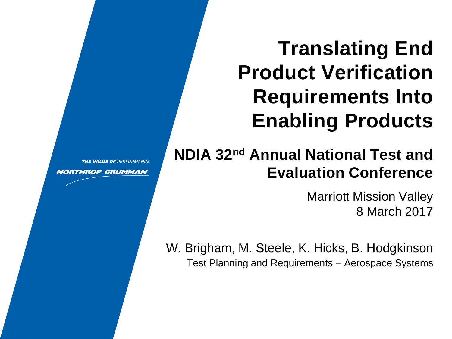# **Translating End Product Verification Requirements Into Enabling Products**

# **NDIA 32nd Annual National Test and Evaluation Conference**

Marriott Mission Valley 8 March 2017

W. Brigham, M. Steele, K. Hicks, B. Hodgkinson Test Planning and Requirements – Aerospace Systems

THE VALUE OF PERFORMANCE.

**NORTHROP GRUMMAN**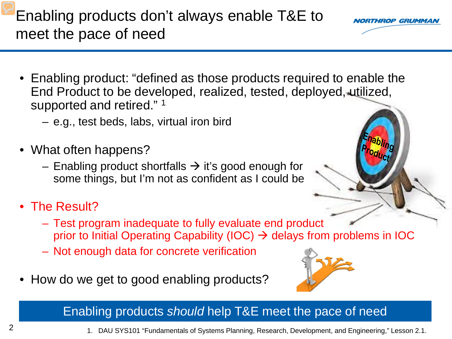Enabling products don't always enable T&E to meet the pace of need

- Enabling product: "defined as those products required to enable the End Product to be developed, realized, tested, deployed, utilized, supported and retired."<sup>1</sup>
	- e.g., test beds, labs, virtual iron bird
- What often happens?
	- Enabling product shortfalls  $\rightarrow$  it's good enough for some things, but I'm not as confident as I could be
- The Result?
	- Test program inadequate to fully evaluate end product prior to Initial Operating Capability (IOC)  $\rightarrow$  delays from problems in IOC
	- Not enough data for concrete verification
- How do we get to good enabling products?

#### Enabling products *should* help T&E meet the pace of need





RTHROP GRUMMA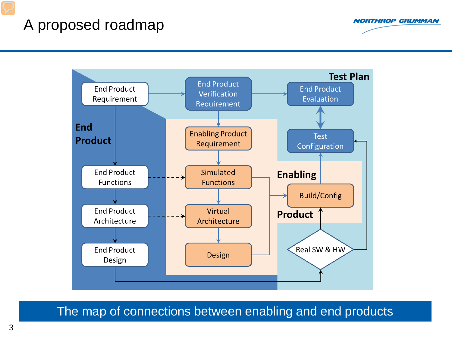### A proposed roadmap



**NORTHROP GRUMMAN** 

The map of connections between enabling and end products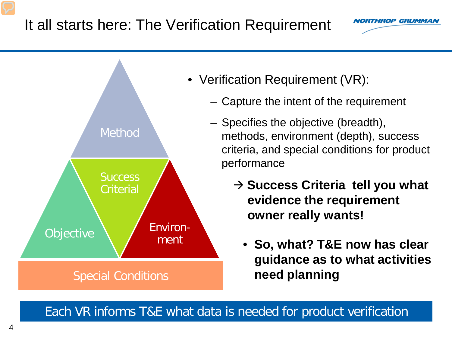### It all starts here: The Verification Requirement





Each VR informs T&E what data is needed for product verification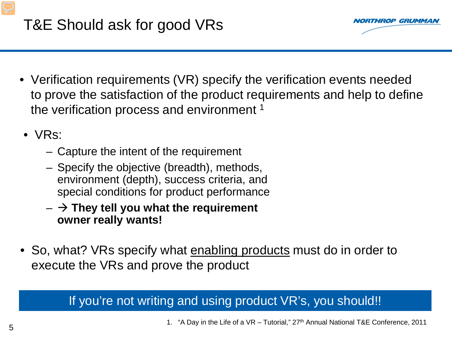

- Verification requirements (VR) specify the verification events needed to prove the satisfaction of the product requirements and help to define the verification process and environment<sup>1</sup>
- VRs:
	- Capture the intent of the requirement
	- Specify the objective (breadth), methods, environment (depth), success criteria, and special conditions for product performance
	- $\rightarrow$  They tell you what the requirement **owner really wants!**
- So, what? VRs specify what enabling products must do in order to execute the VRs and prove the product

### If you're not writing and using product VR's, you should!!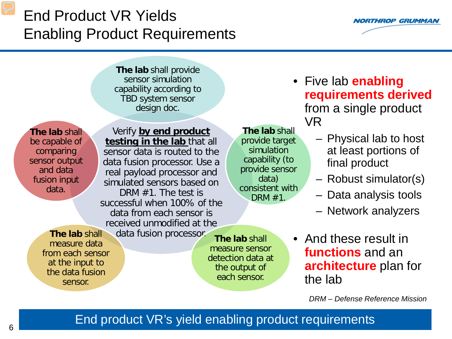# End Product VR Yields Enabling Product Requirements



**The lab** shall provide sensor simulation capability according to TBD system sensor design doc.

**The lab** shall be capable of comparing sensor output and data fusion input data.

Verify **by end product testing in the lab** that all sensor data is routed to the data fusion processor. Use a real payload processor and simulated sensors based on DRM #1. The test is successful when 100% of the data from each sensor is received unmodified at the

**The lab** shall provide target simulation capability (to provide sensor data) consistent with DRM #1.

- Five lab **enabling requirements derived**  from a single product VR
	- Physical lab to host at least portions of final product
	- Robust simulator(s)
	- Data analysis tools
	- Network analyzers

**The lab** shall measure data from each sensor at the input to the data fusion sensor.

data fusion processor.

**The lab** shall measure sensor detection data at the output of each sensor.

• And these result in **functions** and an **architecture** plan for the lab

*DRM – Defense Reference Mission*

#### End product VR's yield enabling product requirements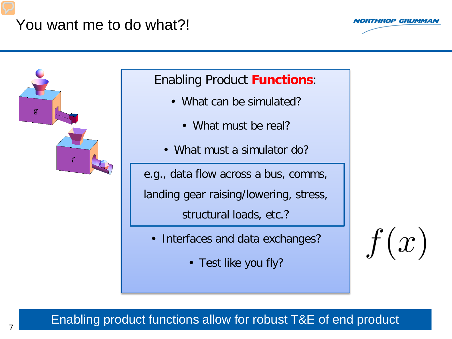### You want me to do what?!





### Enabling Product **Functions**:

- What can be simulated?
	- What must be real?
- What must a simulator do?

e.g., data flow across a bus, comms,

landing gear raising/lowering, stress,

structural loads, etc.?

- Interfaces and data exchanges?
	- Test like you fly?

 $f(x)$ 

#### Enabling product functions allow for robust T&E of end product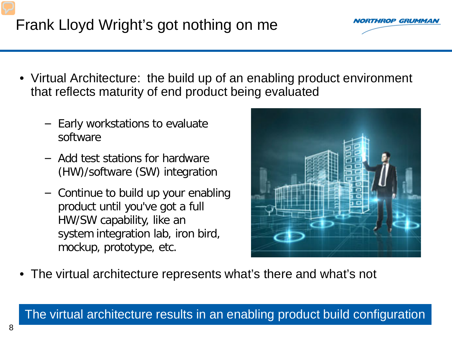

- Virtual Architecture: the build up of an enabling product environment that reflects maturity of end product being evaluated
	- − Early workstations to evaluate software
	- − Add test stations for hardware (HW)/software (SW) integration
	- − Continue to build up your enabling product until you've got a full HW/SW capability, like an system integration lab, iron bird, mockup, prototype, etc.



• The virtual architecture represents what's there and what's not

#### The virtual architecture results in an enabling product build configuration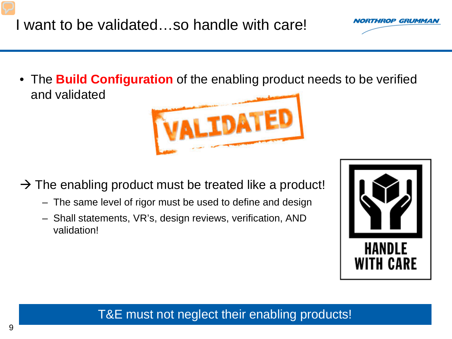• The **Build Configuration** of the enabling product needs to be verified and validated

- $\rightarrow$  The enabling product must be treated like a product!
	- The same level of rigor must be used to define and design
	- Shall statements, VR's, design reviews, verification, AND validation!

9





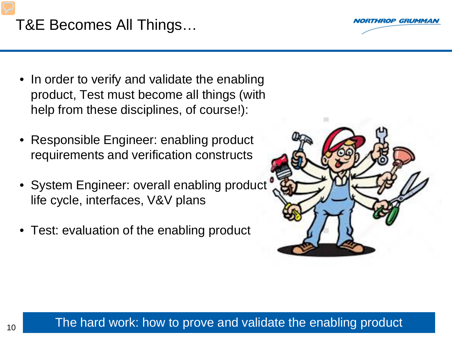

## T&E Becomes All Things…

- In order to verify and validate the enabling product, Test must become all things (with help from these disciplines, of course!):
- Responsible Engineer: enabling product requirements and verification constructs
- System Engineer: overall enabling product life cycle, interfaces, V&V plans
- Test: evaluation of the enabling product



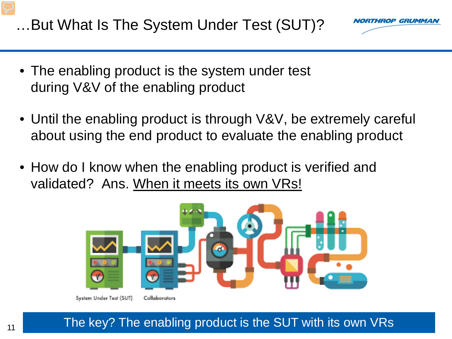…But What Is The System Under Test (SUT)?



- The enabling product is the system under test during V&V of the enabling product
- Until the enabling product is through V&V, be extremely careful about using the end product to evaluate the enabling product
- How do I know when the enabling product is verified and validated? Ans. When it meets its own VRs!

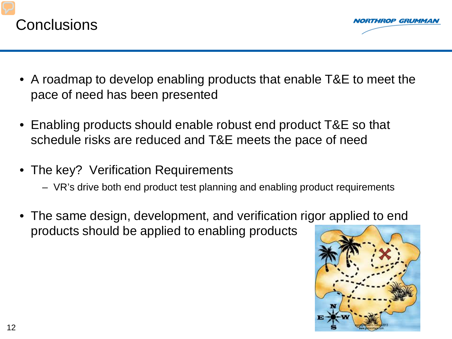

- A roadmap to develop enabling products that enable T&E to meet the pace of need has been presented
- Enabling products should enable robust end product T&E so that schedule risks are reduced and T&E meets the pace of need
- The key? Verification Requirements
	- VR's drive both end product test planning and enabling product requirements
- The same design, development, and verification rigor applied to end products should be applied to enabling products